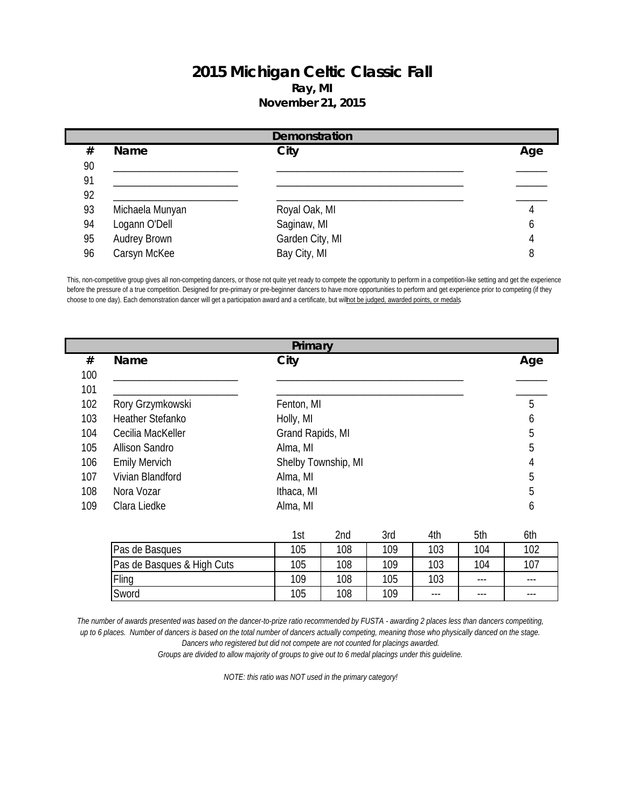## **2015 Michigan Celtic Classic Fall Ray, MI November 21, 2015**

|    | Demonstration   |                 |     |  |  |  |  |
|----|-----------------|-----------------|-----|--|--|--|--|
| #  | <b>Name</b>     | City            | Age |  |  |  |  |
| 90 |                 |                 |     |  |  |  |  |
| 91 |                 |                 |     |  |  |  |  |
| 92 |                 |                 |     |  |  |  |  |
| 93 | Michaela Munyan | Royal Oak, MI   |     |  |  |  |  |
| 94 | Logann O'Dell   | Saginaw, MI     | O   |  |  |  |  |
| 95 | Audrey Brown    | Garden City, MI | 4   |  |  |  |  |
| 96 | Carsyn McKee    | Bay City, MI    | 8   |  |  |  |  |

This, non-competitive group gives all non-competing dancers, or those not quite yet ready to compete the opportunity to perform in a competition-like setting and get the experience before the pressure of a true competition. Designed for pre-primary or pre-beginner dancers to have more opportunities to perform and get experience prior to competing (if they choose to one day). Each demonstration dancer will get a participation award and a certificate, but will not be judged, awarded points, or medals.

|     | Primary                 |                     |     |  |  |  |  |
|-----|-------------------------|---------------------|-----|--|--|--|--|
| #   | <b>Name</b>             | City                | Age |  |  |  |  |
| 100 |                         |                     |     |  |  |  |  |
| 101 |                         |                     |     |  |  |  |  |
| 102 | Rory Grzymkowski        | Fenton, MI          | 5   |  |  |  |  |
| 103 | <b>Heather Stefanko</b> | Holly, MI           | h   |  |  |  |  |
| 104 | Cecilia MacKeller       | Grand Rapids, MI    | 5   |  |  |  |  |
| 105 | Allison Sandro          | Alma, MI            | 5   |  |  |  |  |
| 106 | <b>Emily Mervich</b>    | Shelby Township, MI | 4   |  |  |  |  |
| 107 | Vivian Blandford        | Alma, MI            | 5   |  |  |  |  |
| 108 | Nora Vozar              | Ithaca, MI          | 5   |  |  |  |  |
| 109 | Clara Liedke            | Alma, MI            | b   |  |  |  |  |

|                            | ∣st | 2nd | 3rd | 4th   | 5th   | 6th   |
|----------------------------|-----|-----|-----|-------|-------|-------|
| Pas de Basques             | 105 | 108 | 109 | 103   | 104   | 102   |
| Pas de Basques & High Cuts | 105 | 108 | 109 | 103   | 104   | 107   |
| Fling                      | 109 | 108 | 105 | 103   | $---$ | $---$ |
| Sword                      | 105 | 108 | 109 | $---$ | $---$ | $---$ |

*The number of awards presented was based on the dancer-to-prize ratio recommended by FUSTA - awarding 2 places less than dancers competiting, up to 6 places. Number of dancers is based on the total number of dancers actually competing, meaning those who physically danced on the stage. Dancers who registered but did not compete are not counted for placings awarded. Groups are divided to allow majority of groups to give out to 6 medal placings under this guideline.*

*NOTE: this ratio was NOT used in the primary category!*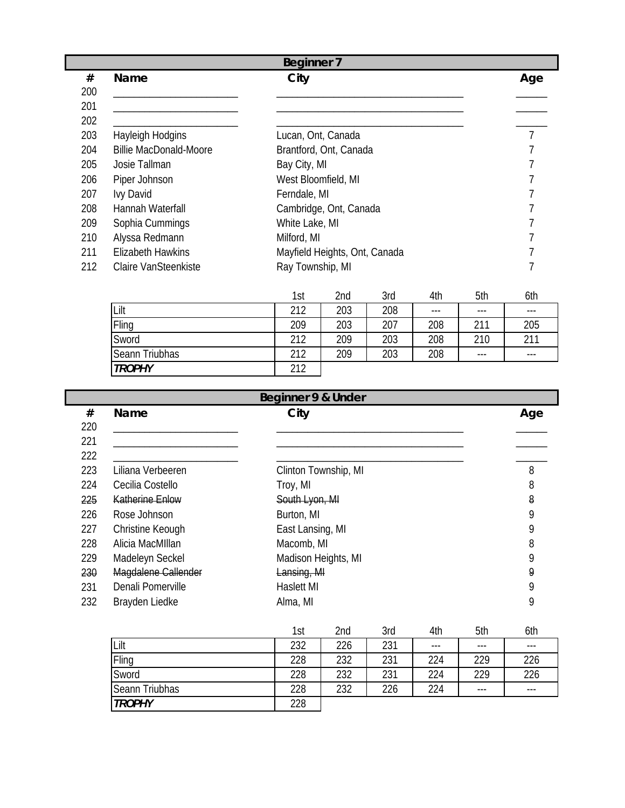|     | <b>Beginner 7</b>             |                               |     |  |  |  |  |
|-----|-------------------------------|-------------------------------|-----|--|--|--|--|
| #   | <b>Name</b>                   | City                          | Age |  |  |  |  |
| 200 |                               |                               |     |  |  |  |  |
| 201 |                               |                               |     |  |  |  |  |
| 202 |                               |                               |     |  |  |  |  |
| 203 | Hayleigh Hodgins              | Lucan, Ont, Canada            |     |  |  |  |  |
| 204 | <b>Billie MacDonald-Moore</b> | Brantford, Ont, Canada        |     |  |  |  |  |
| 205 | Josie Tallman                 | Bay City, MI                  |     |  |  |  |  |
| 206 | Piper Johnson                 | West Bloomfield, MI           |     |  |  |  |  |
| 207 | <b>Ivy David</b>              | Ferndale, MI                  |     |  |  |  |  |
| 208 | Hannah Waterfall              | Cambridge, Ont, Canada        |     |  |  |  |  |
| 209 | Sophia Cummings               | White Lake, MI                |     |  |  |  |  |
| 210 | Alyssa Redmann                | Milford, MI                   |     |  |  |  |  |
| 211 | <b>Elizabeth Hawkins</b>      | Mayfield Heights, Ont, Canada |     |  |  |  |  |
| 212 | Claire VanSteenkiste          | Ray Township, MI              |     |  |  |  |  |
|     |                               |                               |     |  |  |  |  |

|                | 1st | 2nd | 3rd | 4th   | 5th   | 6th   |
|----------------|-----|-----|-----|-------|-------|-------|
| Lilt           | 212 | 203 | 208 | $---$ | $---$ | $---$ |
| Fling          | 209 | 203 | 207 | 208   | 211   | 205   |
| Sword          | 212 | 209 | 203 | 208   | 210   | 211   |
| Seann Triubhas | 212 | 209 | 203 | 208   | $---$ | $---$ |
| <b>TROPHY</b>  | 212 |     |     |       |       |       |

|     | Beginner 9 & Under     |                      |     |  |  |  |  |  |
|-----|------------------------|----------------------|-----|--|--|--|--|--|
| #   | Name                   | City                 | Age |  |  |  |  |  |
| 220 |                        |                      |     |  |  |  |  |  |
| 221 |                        |                      |     |  |  |  |  |  |
| 222 |                        |                      |     |  |  |  |  |  |
| 223 | Liliana Verbeeren      | Clinton Township, MI | 8   |  |  |  |  |  |
| 224 | Cecilia Costello       | Troy, MI             | 8   |  |  |  |  |  |
| 225 | <b>Katherine Enlow</b> | South Lyon, MI       | 8   |  |  |  |  |  |
| 226 | Rose Johnson           | Burton, MI           | 9   |  |  |  |  |  |
| 227 | Christine Keough       | East Lansing, MI     | 9   |  |  |  |  |  |
| 228 | Alicia MacMIllan       | Macomb, MI           | 8   |  |  |  |  |  |
| 229 | Madeleyn Seckel        | Madison Heights, MI  | Q   |  |  |  |  |  |
| 230 | Magdalene Callender    | Lansing, MI          | 9   |  |  |  |  |  |
| 231 | Denali Pomerville      | <b>Haslett MI</b>    | Q   |  |  |  |  |  |
| 232 | Brayden Liedke         | Alma, MI             | 9   |  |  |  |  |  |

|                | 1st | 2nd | 3rd | 4th   | 5th     | 6th   |
|----------------|-----|-----|-----|-------|---------|-------|
| Lilt           | 232 | 226 | 231 | $---$ | $---$   | $---$ |
| Fling          | 228 | 232 | 231 | 224   | 229     | 226   |
| Sword          | 228 | 232 | 231 | 224   | 229     | 226   |
| Seann Triubhas | 228 | 232 | 226 | 224   | $- - -$ | $---$ |
| <b>TROPHY</b>  | 228 |     |     |       |         |       |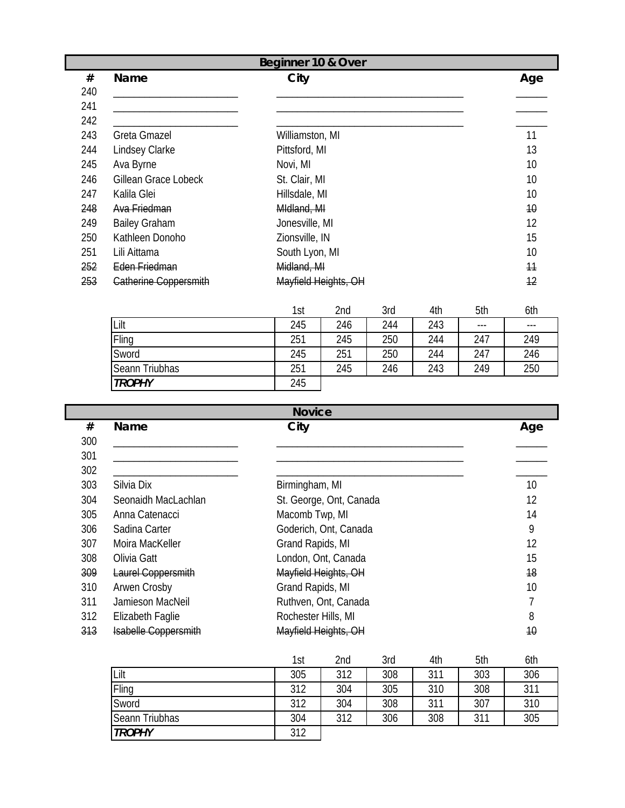|     | Beginner 10 & Over    |                      |     |  |  |  |  |
|-----|-----------------------|----------------------|-----|--|--|--|--|
| #   | Name                  | City                 | Age |  |  |  |  |
| 240 |                       |                      |     |  |  |  |  |
| 241 |                       |                      |     |  |  |  |  |
| 242 |                       |                      |     |  |  |  |  |
| 243 | <b>Greta Gmazel</b>   | Williamston, MI      | 11  |  |  |  |  |
| 244 | Lindsey Clarke        | Pittsford, MI        | 13  |  |  |  |  |
| 245 | Ava Byrne             | Novi, MI             | 10  |  |  |  |  |
| 246 | Gillean Grace Lobeck  | St. Clair, MI        | 10  |  |  |  |  |
| 247 | Kalila Glei           | Hillsdale, MI        | 10  |  |  |  |  |
| 248 | Ava Friedman          | Midland, MI          | 10  |  |  |  |  |
| 249 | <b>Bailey Graham</b>  | Jonesville, MI       | 12  |  |  |  |  |
| 250 | Kathleen Donoho       | Zionsville, IN       | 15  |  |  |  |  |
| 251 | Lili Aittama          | South Lyon, MI       | 10  |  |  |  |  |
| 252 | Eden Friedman         | Midland, MI          | 11  |  |  |  |  |
| 253 | Catherine Coppersmith | Mayfield Heights, OH | 12  |  |  |  |  |

|                | 1st | 2nd | 3rd | 4th | 5th   | 6th   |
|----------------|-----|-----|-----|-----|-------|-------|
| Lilt           | 245 | 246 | 244 | 243 | $---$ | $---$ |
| Fling          | 251 | 245 | 250 | 244 | 247   | 249   |
| Sword          | 245 | 251 | 250 | 244 | 247   | 246   |
| Seann Triubhas | 251 | 245 | 246 | 243 | 249   | 250   |
| <b>TROPHY</b>  | 245 |     |     |     |       |       |

|     | <b>Novice</b>               |                         |     |  |  |  |  |
|-----|-----------------------------|-------------------------|-----|--|--|--|--|
| #   | <b>Name</b>                 | City                    | Age |  |  |  |  |
| 300 |                             |                         |     |  |  |  |  |
| 301 |                             |                         |     |  |  |  |  |
| 302 |                             |                         |     |  |  |  |  |
| 303 | Silvia Dix                  | Birmingham, MI          | 10  |  |  |  |  |
| 304 | Seonaidh MacLachlan         | St. George, Ont, Canada | 12  |  |  |  |  |
| 305 | Anna Catenacci              | Macomb Twp, MI          | 14  |  |  |  |  |
| 306 | Sadina Carter               | Goderich, Ont, Canada   | 9   |  |  |  |  |
| 307 | Moira MacKeller             | Grand Rapids, MI        | 12  |  |  |  |  |
| 308 | Olivia Gatt                 | London, Ont, Canada     | 15  |  |  |  |  |
| 309 | Laurel Coppersmith          | Mayfield Heights, OH    | 18  |  |  |  |  |
| 310 | Arwen Crosby                | Grand Rapids, MI        | 10  |  |  |  |  |
| 311 | Jamieson MacNeil            | Ruthven, Ont, Canada    |     |  |  |  |  |
| 312 | Elizabeth Faglie            | Rochester Hills, MI     | 8   |  |  |  |  |
| 313 | <b>Isabelle Coppersmith</b> | Mayfield Heights, OH    | 10  |  |  |  |  |

|                | 1st | 2nd | 3rd | 4th | 5th | 6th |
|----------------|-----|-----|-----|-----|-----|-----|
| Lilt           | 305 | 312 | 308 | 311 | 303 | 306 |
| Fling          | 312 | 304 | 305 | 310 | 308 | 311 |
| Sword          | 312 | 304 | 308 | 311 | 307 | 310 |
| Seann Triubhas | 304 | 312 | 306 | 308 | 311 | 305 |
| <b>TROPHY</b>  | 312 |     |     |     |     |     |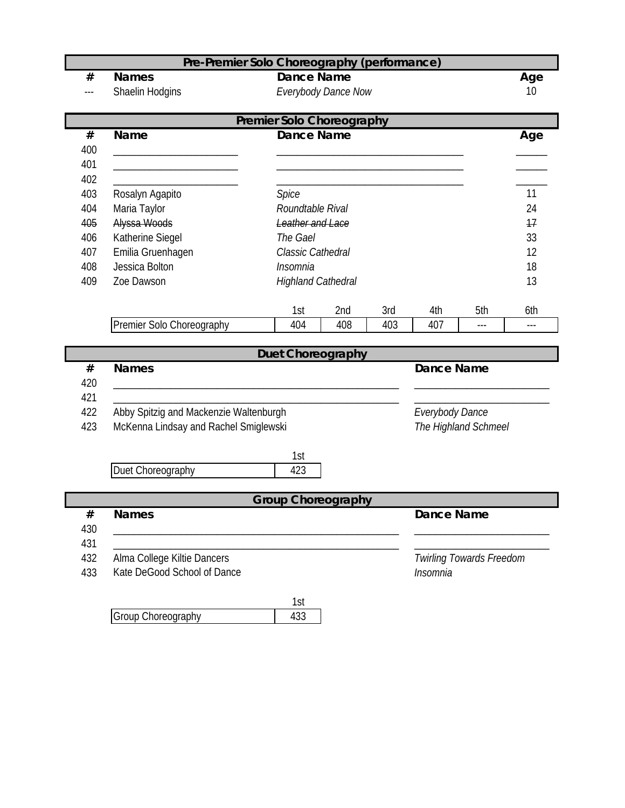|      | Pre-Premier Solo Choreography (performance) |                           |                     |     |                   |                          |       |  |  |  |  |
|------|---------------------------------------------|---------------------------|---------------------|-----|-------------------|--------------------------|-------|--|--|--|--|
| #    | <b>Names</b>                                | <b>Dance Name</b>         |                     |     |                   |                          | Age   |  |  |  |  |
|      | Shaelin Hodgins                             |                           | Everybody Dance Now |     |                   |                          | 10    |  |  |  |  |
|      | <b>Premier Solo Choreography</b>            |                           |                     |     |                   |                          |       |  |  |  |  |
| #    | <b>Name</b>                                 | <b>Dance Name</b>         |                     |     |                   |                          | Age   |  |  |  |  |
| 400  |                                             |                           |                     |     |                   |                          |       |  |  |  |  |
| 401  |                                             |                           |                     |     |                   |                          |       |  |  |  |  |
| 402  |                                             |                           |                     |     |                   |                          |       |  |  |  |  |
| 403  | Rosalyn Agapito                             | Spice                     |                     |     |                   |                          | 11    |  |  |  |  |
| 404  | Maria Taylor                                | Roundtable Rival          |                     |     |                   |                          | 24    |  |  |  |  |
| 405  | Alyssa Woods                                | <b>Leather and Lace</b>   |                     |     |                   |                          | 17    |  |  |  |  |
| 406  | Katherine Siegel                            | The Gael                  |                     |     |                   |                          | 33    |  |  |  |  |
| 407  | Emilia Gruenhagen                           | Classic Cathedral         |                     |     |                   |                          | 12    |  |  |  |  |
| 408  | Jessica Bolton                              | Insomnia                  |                     |     |                   |                          | 18    |  |  |  |  |
| 409  | Zoe Dawson                                  | <b>Highland Cathedral</b> |                     |     |                   |                          | 13    |  |  |  |  |
|      |                                             |                           |                     |     |                   |                          |       |  |  |  |  |
|      |                                             | 1st                       | 2nd                 | 3rd | 4th               | 5th                      | 6th   |  |  |  |  |
|      | Premier Solo Choreography                   | 404                       | 408                 | 403 | 407               |                          | $---$ |  |  |  |  |
|      |                                             | Duet Choreography         |                     |     |                   |                          |       |  |  |  |  |
| $\#$ | <b>Names</b>                                |                           |                     |     | <b>Dance Name</b> |                          |       |  |  |  |  |
| 420  |                                             |                           |                     |     |                   |                          |       |  |  |  |  |
| 421  |                                             |                           |                     |     |                   |                          |       |  |  |  |  |
| 422  | Abby Spitzig and Mackenzie Waltenburgh      |                           |                     |     | Everybody Dance   |                          |       |  |  |  |  |
| 423  | McKenna Lindsay and Rachel Smiglewski       |                           |                     |     |                   | The Highland Schmeel     |       |  |  |  |  |
|      |                                             |                           |                     |     |                   |                          |       |  |  |  |  |
|      |                                             | 1st                       |                     |     |                   |                          |       |  |  |  |  |
|      | Duet Choreography                           | 423                       |                     |     |                   |                          |       |  |  |  |  |
|      |                                             | <b>Group Choreography</b> |                     |     |                   |                          |       |  |  |  |  |
| #    | <b>Names</b>                                |                           |                     |     | <b>Dance Name</b> |                          |       |  |  |  |  |
| 430  |                                             |                           |                     |     |                   |                          |       |  |  |  |  |
| 431  |                                             |                           |                     |     |                   |                          |       |  |  |  |  |
| 432  | Alma College Kiltie Dancers                 |                           |                     |     |                   | Twirling Towards Freedom |       |  |  |  |  |
| 433  | Kate DeGood School of Dance<br>Insomnia     |                           |                     |     |                   |                          |       |  |  |  |  |
|      |                                             |                           |                     |     |                   |                          |       |  |  |  |  |
|      |                                             | 1st                       |                     |     |                   |                          |       |  |  |  |  |
|      | Group Choreography                          | 433                       |                     |     |                   |                          |       |  |  |  |  |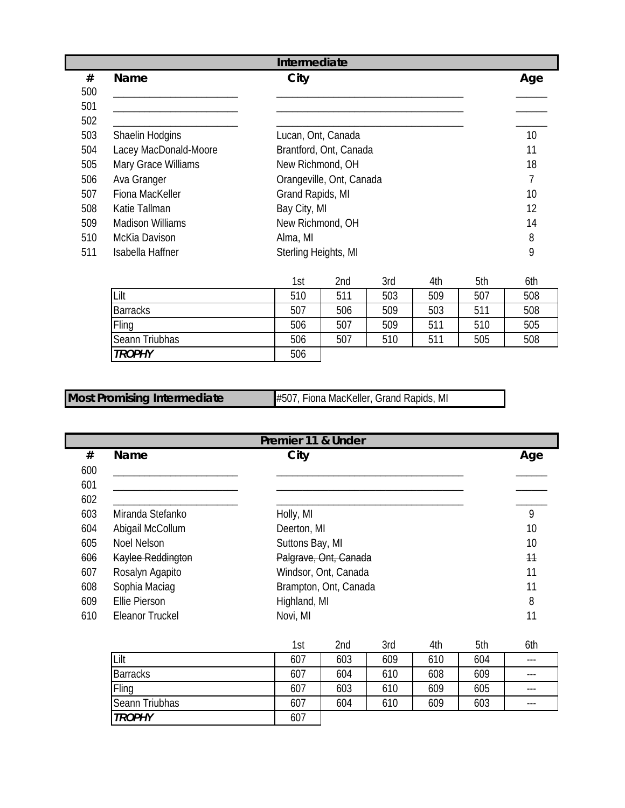|     | Intermediate            |                          |     |  |  |  |
|-----|-------------------------|--------------------------|-----|--|--|--|
| #   | <b>Name</b>             | City                     | Age |  |  |  |
| 500 |                         |                          |     |  |  |  |
| 501 |                         |                          |     |  |  |  |
| 502 |                         |                          |     |  |  |  |
| 503 | Shaelin Hodgins         | Lucan, Ont, Canada       | 10  |  |  |  |
| 504 | Lacey MacDonald-Moore   | Brantford, Ont, Canada   | 11  |  |  |  |
| 505 | Mary Grace Williams     | New Richmond, OH         | 18  |  |  |  |
| 506 | Ava Granger             | Orangeville, Ont, Canada |     |  |  |  |
| 507 | Fiona MacKeller         | Grand Rapids, MI         | 10  |  |  |  |
| 508 | Katie Tallman           | Bay City, MI             | 12  |  |  |  |
| 509 | <b>Madison Williams</b> | New Richmond, OH         | 14  |  |  |  |
| 510 | McKia Davison           | Alma, MI                 | 8   |  |  |  |
| 511 | Isabella Haffner        | Sterling Heights, MI     | 9   |  |  |  |

|                 | 1st | 2nd | 3rd | 4th | 5th | 6th |
|-----------------|-----|-----|-----|-----|-----|-----|
| Lilt            | 510 | 511 | 503 | 509 | 507 | 508 |
| <b>Barracks</b> | 507 | 506 | 509 | 503 | 511 | 508 |
| Fling           | 506 | 507 | 509 | 511 | 510 | 505 |
| Seann Triubhas  | 506 | 507 | 510 | 511 | 505 | 508 |
| <b>TROPHY</b>   | 506 |     |     |     |     |     |

| <b>Most Promising Intermediate</b> | #507, Fiona MacKeller, Grand Rapids, MI |
|------------------------------------|-----------------------------------------|
|------------------------------------|-----------------------------------------|

|     | Premier 11 & Under     |                       |     |  |  |  |
|-----|------------------------|-----------------------|-----|--|--|--|
| #   | <b>Name</b>            | City                  | Age |  |  |  |
| 600 |                        |                       |     |  |  |  |
| 601 |                        |                       |     |  |  |  |
| 602 |                        |                       |     |  |  |  |
| 603 | Miranda Stefanko       | Holly, MI             | 9   |  |  |  |
| 604 | Abigail McCollum       | Deerton, MI           | 10  |  |  |  |
| 605 | Noel Nelson            | Suttons Bay, MI       | 10  |  |  |  |
| 606 | Kaylee Reddington      | Palgrave, Ont, Canada | 11  |  |  |  |
| 607 | Rosalyn Agapito        | Windsor, Ont, Canada  | 11  |  |  |  |
| 608 | Sophia Maciag          | Brampton, Ont, Canada | 11  |  |  |  |
| 609 | Ellie Pierson          | Highland, MI          | 8   |  |  |  |
| 610 | <b>Eleanor Truckel</b> | Novi, MI              |     |  |  |  |

|                 | 1st | 2nd | 3rd | 4th | 5th | 6th   |
|-----------------|-----|-----|-----|-----|-----|-------|
| Lilt            | 607 | 603 | 609 | 610 | 604 | $---$ |
| <b>Barracks</b> | 607 | 604 | 610 | 608 | 609 | $---$ |
| Fling           | 607 | 603 | 610 | 609 | 605 | $---$ |
| Seann Triubhas  | 607 | 604 | 610 | 609 | 603 | $---$ |
| <b>TROPHY</b>   | 607 |     |     |     |     |       |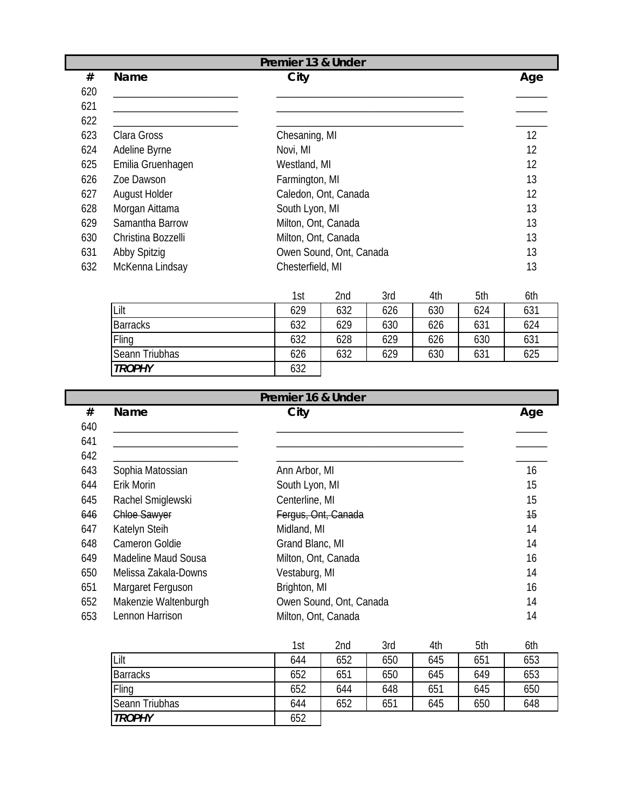| Premier 13 & Under |                    |                         |     |  |
|--------------------|--------------------|-------------------------|-----|--|
| #                  | Name               | City                    | Age |  |
| 620                |                    |                         |     |  |
| 621                |                    |                         |     |  |
| 622                |                    |                         |     |  |
| 623                | Clara Gross        | Chesaning, MI           | 12  |  |
| 624                | Adeline Byrne      | Novi, MI                | 12  |  |
| 625                | Emilia Gruenhagen  | Westland, MI            | 12  |  |
| 626                | Zoe Dawson         | Farmington, MI          | 13  |  |
| 627                | August Holder      | Caledon, Ont, Canada    | 12  |  |
| 628                | Morgan Aittama     | South Lyon, MI          | 13  |  |
| 629                | Samantha Barrow    | Milton, Ont, Canada     | 13  |  |
| 630                | Christina Bozzelli | Milton, Ont, Canada     | 13  |  |
| 631                | Abby Spitzig       | Owen Sound, Ont, Canada | 13  |  |
| 632                | McKenna Lindsay    | Chesterfield, MI        | 13  |  |

|                 | 1st | 2nd | 3rd | 4th | 5th | 6th |
|-----------------|-----|-----|-----|-----|-----|-----|
| Lilt            | 629 | 632 | 626 | 630 | 624 | 631 |
| <b>Barracks</b> | 632 | 629 | 630 | 626 | 631 | 624 |
| Fling           | 632 | 628 | 629 | 626 | 630 | 631 |
| Seann Triubhas  | 626 | 632 | 629 | 630 | 631 | 625 |
| <b>TROPHY</b>   | 632 |     |     |     |     |     |

|     |                      | Premier 16 & Under      |     |
|-----|----------------------|-------------------------|-----|
| #   | <b>Name</b>          | City                    | Age |
| 640 |                      |                         |     |
| 641 |                      |                         |     |
| 642 |                      |                         |     |
| 643 | Sophia Matossian     | Ann Arbor, MI           | 16  |
| 644 | Erik Morin           | South Lyon, MI          | 15  |
| 645 | Rachel Smiglewski    | Centerline, MI          | 15  |
| 646 | Chloe Sawyer         | Fergus, Ont, Canada     | 15  |
| 647 | Katelyn Steih        | Midland, MI             | 14  |
| 648 | Cameron Goldie       | Grand Blanc, MI         | 14  |
| 649 | Madeline Maud Sousa  | Milton, Ont, Canada     | 16  |
| 650 | Melissa Zakala-Downs | Vestaburg, MI           | 14  |
| 651 | Margaret Ferguson    | Brighton, MI            | 16  |
| 652 | Makenzie Waltenburgh | Owen Sound, Ont, Canada | 14  |
| 653 | Lennon Harrison      | Milton, Ont, Canada     | 14  |

|                 | 1st | 2nd | 3rd | 4th | 5th | 6th |
|-----------------|-----|-----|-----|-----|-----|-----|
| Lilt            | 644 | 652 | 650 | 645 | 651 | 653 |
| <b>Barracks</b> | 652 | 651 | 650 | 645 | 649 | 653 |
| Fling           | 652 | 644 | 648 | 651 | 645 | 650 |
| Seann Triubhas  | 644 | 652 | 651 | 645 | 650 | 648 |
| <b>TROPHY</b>   | 652 |     |     |     |     |     |